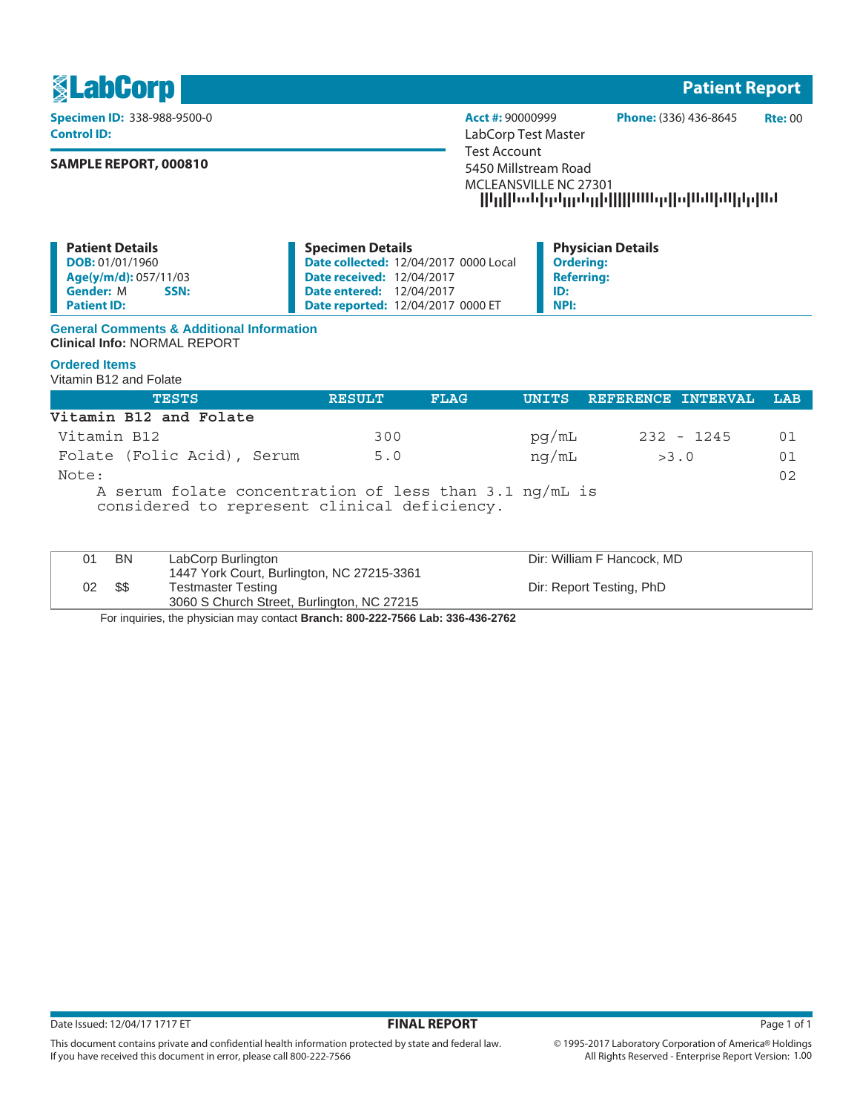

**Control ID:** LabCorp Test Master

# **SAMPLE REPORT, 000810**

**Specimen ID:** 338-988-9500-0 **Acct #:** 90000999 **Phone:** (336) 436-8645 **Rte:** 00 Test Account 5450 Millstream Road MCLEANSVILLE NC 27301 --------------------

| <b>Patient Details</b>   | <b>Specimen Details</b>                      | <b>Physician Details</b> |
|--------------------------|----------------------------------------------|--------------------------|
| <b>DOB:</b> 01/01/1960   | <b>Date collected: 12/04/2017 0000 Local</b> | <b>Ordering:</b>         |
| Age(y/m/d): 057/11/03    | <b>Date received: 12/04/2017</b>             | <b>Referring:</b>        |
| <b>Gender:</b> M<br>SSN: | <b>Date entered: 12/04/2017</b>              | ID:                      |
| <b>Patient ID:</b>       | <b>Date reported: 12/04/2017 0000 ET</b>     | <b>NPI:</b>              |

## **General Comments & Additional Information Clinical Info:** NORMAL REPORT

# **Ordered Items**

Vitamin B12 and Folate

| <b>TESTS</b>                                                                                           | <b>RESULT</b> | <b>FLAG</b> |       | UNITS REFERENCE INTERVAL | LAB |
|--------------------------------------------------------------------------------------------------------|---------------|-------------|-------|--------------------------|-----|
| Vitamin B12 and Folate                                                                                 |               |             |       |                          |     |
| Vitamin B12                                                                                            | 300           |             | pq/mL | 232 - 1245               | 01  |
| Folate (Folic Acid), Serum                                                                             | 5.0           |             | ng/mL | >3.0                     | 01  |
| Note:                                                                                                  |               |             |       |                          | 02  |
| A serum folate concentration of less than 3.1 ng/mL is<br>considered to represent clinical deficiency. |               |             |       |                          |     |

| 01 | BN  | LabCorp Burlington                         | Dir: William F Hancock, MD |
|----|-----|--------------------------------------------|----------------------------|
|    |     | 1447 York Court, Burlington, NC 27215-3361 |                            |
| 02 | -SS | <b>Testmaster Testing</b>                  | Dir: Report Testing, PhD   |
|    |     | 3060 S Church Street, Burlington, NC 27215 |                            |
|    |     |                                            |                            |

For inquiries, the physician may contact **Branch: 800-222-7566 Lab: 336-436-2762**

This document contains private and confidential health information protected by state and federal law.

If you have received this document in error, please call 800-222-7566